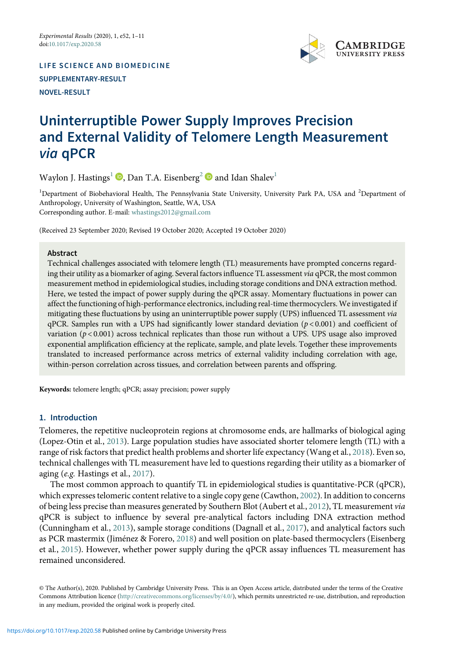

LIFE SCIENCE AND BIOMEDICINE SUPPLEMENTARY-RESULT NOVEL-RESULT

# Uninterruptible Power Supply Improves Precision and External Validity of Telomere Length Measurement via qPCR

Waylon J. Hastings<sup>[1](#page-0-0)</sup>  $\mathbf{D}$ , Dan T.A. Eisenberg<sup>[2](#page-0-0)</sup>  $\mathbf{D}$  and Idan Shalev<sup>1</sup>

<span id="page-0-0"></span><sup>1</sup>Department of Biobehavioral Health, The Pennsylvania State University, University Park PA, USA and <sup>2</sup>Department of Anthropology, University of Washington, Seattle, WA, USA Corresponding author. E-mail: [whastings2012@gmail.com](mailto:whastings2012@gmail.com)

(Received 23 September 2020; Revised 19 October 2020; Accepted 19 October 2020)

#### Abstract

Technical challenges associated with telomere length (TL) measurements have prompted concerns regarding their utility as a biomarker of aging. Several factors influence TL assessment via qPCR, the most common measurement method in epidemiological studies, including storage conditions and DNA extraction method. Here, we tested the impact of power supply during the qPCR assay. Momentary fluctuations in power can affect the functioning of high-performance electronics, including real-time thermocyclers. We investigated if mitigating these fluctuations by using an uninterruptible power supply (UPS) influenced TL assessment via  $qPCR$ . Samples run with a UPS had significantly lower standard deviation ( $p < 0.001$ ) and coefficient of variation ( $p < 0.001$ ) across technical replicates than those run without a UPS. UPS usage also improved exponential amplification efficiency at the replicate, sample, and plate levels. Together these improvements translated to increased performance across metrics of external validity including correlation with age, within-person correlation across tissues, and correlation between parents and offspring.

Keywords: telomere length; qPCR; assay precision; power supply

#### 1. Introduction

Telomeres, the repetitive nucleoprotein regions at chromosome ends, are hallmarks of biological aging (Lopez-Otin et al., [2013](#page-6-0)). Large population studies have associated shorter telomere length (TL) with a range of risk factors that predict health problems and shorter life expectancy (Wang et al., [2018\)](#page-6-1). Even so, technical challenges with TL measurement have led to questions regarding their utility as a biomarker of aging (e.g. Hastings et al., [2017](#page-6-2)).

The most common approach to quantify TL in epidemiological studies is quantitative-PCR (qPCR), which expresses telomeric content relative to a single copy gene (Cawthon, [2002\)](#page-5-0). In addition to concerns of being less precise than measures generated by Southern Blot (Aubert et al., [2012](#page-5-1)), TL measurement via qPCR is subject to influence by several pre-analytical factors including DNA extraction method (Cunningham et al., [2013](#page-5-2)), sample storage conditions (Dagnall et al., [2017](#page-5-3)), and analytical factors such as PCR mastermix (Jiménez & Forero, [2018\)](#page-6-3) and well position on plate-based thermocyclers (Eisenberg et al., [2015\)](#page-5-4). However, whether power supply during the qPCR assay influences TL measurement has remained unconsidered.

© The Author(s), 2020. Published by Cambridge University Press. This is an Open Access article, distributed under the terms of the Creative Commons Attribution licence (<http://creativecommons.org/licenses/by/4.0/>), which permits unrestricted re-use, distribution, and reproduction in any medium, provided the original work is properly cited.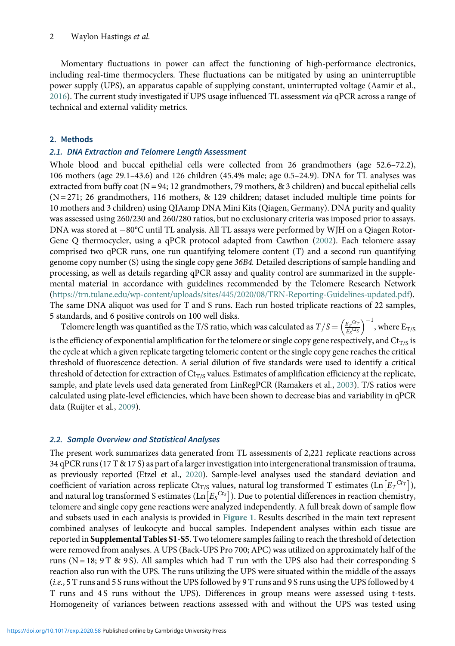#### 2 Waylon Hastings et al.

Momentary fluctuations in power can affect the functioning of high-performance electronics, including real-time thermocyclers. These fluctuations can be mitigated by using an uninterruptible power supply (UPS), an apparatus capable of supplying constant, uninterrupted voltage (Aamir et al., [2016](#page-5-5)). The current study investigated if UPS usage influenced TL assessment via qPCR across a range of technical and external validity metrics.

#### 2. Methods

#### 2.1. DNA Extraction and Telomere Length Assessment

Whole blood and buccal epithelial cells were collected from 26 grandmothers (age 52.6–72.2), 106 mothers (age 29.1–43.6) and 126 children (45.4% male; age 0.5–24.9). DNA for TL analyses was extracted from buffy coat  $(N = 94; 12$  grandmothers, 79 mothers, & 3 children) and buccal epithelial cells  $(N = 271; 26$  grandmothers, 116 mothers, & 129 children; dataset included multiple time points for 10 mothers and 3 children) using QIAamp DNA Mini Kits (Qiagen, Germany). DNA purity and quality was assessed using 260/230 and 260/280 ratios, but no exclusionary criteria was imposed prior to assays. DNA was stored at -80°C until TL analysis. All TL assays were performed by WJH on a Qiagen Rotor-Gene Q thermocycler, using a qPCR protocol adapted from Cawthon [\(2002\)](#page-5-0). Each telomere assay comprised two qPCR runs, one run quantifying telomere content (T) and a second run quantifying genome copy number (S) using the single copy gene 36B4. Detailed descriptions of sample handling and processing, as well as details regarding qPCR assay and quality control are summarized in the supplemental material in accordance with guidelines recommended by the Telomere Research Network [\(https://trn.tulane.edu/wp-content/uploads/sites/445/2020/08/TRN-Reporting-Guidelines-updated.pdf\)](https://trn.tulane.edu/wp-content/uploads/sites/445/2020/08/TRN-Reporting-Guidelines-updated.pdf). The same DNA aliquot was used for T and S runs. Each run hosted triplicate reactions of 22 samples, 5 standards, and 6 positive controls on 100 well disks.

Telomere length was quantified as the T/S ratio, which was calculated as  $T/S = \left(\frac{E_T^{Ct_T}}{E_S^{Ct_S}}\right)^{-1}$ , where  $E_{T/S}$ is the efficiency of exponential amplification for the telomere or single copy gene respectively, and  $Ct_{TS}$  is the cycle at which a given replicate targeting telomeric content or the single copy gene reaches the critical threshold of fluorescence detection. A serial dilution of five standards were used to identify a critical threshold of detection for extraction of  $\text{Ct}_{T/S}$  values. Estimates of amplification efficiency at the replicate, sample, and plate levels used data generated from LinRegPCR (Ramakers et al., [2003\)](#page-6-4). T/S ratios were calculated using plate-level efficiencies, which have been shown to decrease bias and variability in qPCR data (Ruijter et al., [2009\)](#page-6-5).

#### 2.2. Sample Overview and Statistical Analyses

The present work summarizes data generated from TL assessments of 2,221 replicate reactions across 34 qPCR runs (17 T & 17 S) as part of a larger investigation into intergenerational transmission of trauma, as previously reported (Etzel et al., [2020\)](#page-5-6). Sample-level analyses used the standard deviation and coefficient of variation across replicate Ct<sub>T/S</sub> values, natural log transformed T estimates (Ln $\left[E_T{}^{Cr}\right]$ ), and natural log transformed S estimates (Ln $\left[E_{S}^{Ct_{S}}\right]$ ). Due to potential differences in reaction chemistry, telomere and single copy gene reactions were analyzed independently. A full break down of sample flow and subsets used in each analysis is provided in [Figure 1](#page-2-0). Results described in the main text represent combined analyses of leukocyte and buccal samples. Independent analyses within each tissue are reported in Supplemental Tables S1-S5. Two telomere samples failing to reach the threshold of detection were removed from analyses. A UPS (Back-UPS Pro 700; APC) was utilized on approximately half of the runs ( $N = 18$ ;  $9T \& 9S$ ). All samples which had T run with the UPS also had their corresponding S reaction also run with the UPS. The runs utilizing the UPS were situated within the middle of the assays (i.e., 5 T runs and 5 S runs without the UPS followed by 9 T runs and 9 S runs using the UPS followed by 4 T runs and 4 S runs without the UPS). Differences in group means were assessed using t-tests. Homogeneity of variances between reactions assessed with and without the UPS was tested using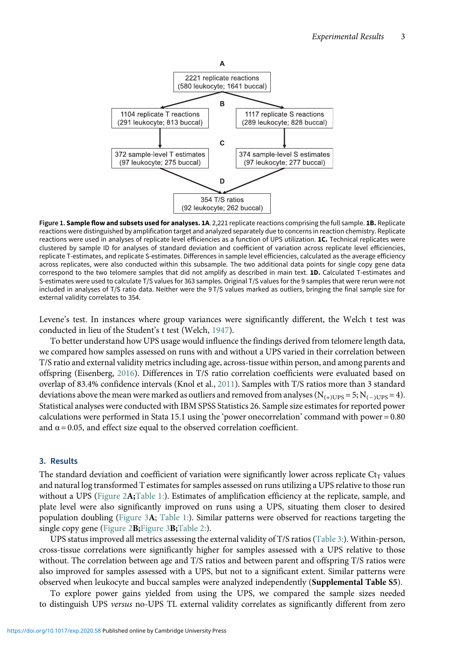<span id="page-2-0"></span>

Figure 1. Sample flow and subsets used for analyses. 1A. 2,221 replicate reactions comprising the full sample. 1B. Replicate reactions were distinguished by amplification target and analyzed separately due to concerns in reaction chemistry. Replicate reactions were used in analyses of replicate level efficiencies as a function of UPS utilization. 1C. Technical replicates were clustered by sample ID for analyses of standard deviation and coefficient of variation across replicate level efficiencies, replicate T-estimates, and replicate S-estimates. Differences in sample level efficiencies, calculated as the average efficiency across replicates, were also conducted within this subsample. The two additional data points for single copy gene data correspond to the two telomere samples that did not amplify as described in main text. 1D. Calculated T-estimates and S-estimates were used to calculate T/S values for 363 samples. Original T/S values for the 9 samples that were rerun were not included in analyses of T/S ratio data. Neither were the 9 T/S values marked as outliers, bringing the final sample size for external validity correlates to 354.

Levene's test. In instances where group variances were significantly different, the Welch t test was conducted in lieu of the Student's t test (Welch, [1947](#page-6-6)).

To better understand how UPS usage would influence the findings derived from telomere length data, we compared how samples assessed on runs with and without a UPS varied in their correlation between T/S ratio and external validity metrics including age, across-tissue within person, and among parents and offspring (Eisenberg, [2016\)](#page-5-7). Differences in T/S ratio correlation coefficients were evaluated based on overlap of 83.4% confidence intervals (Knol et al., [2011\)](#page-6-7). Samples with T/S ratios more than 3 standard deviations above the mean were marked as outliers and removed from analyses  $(N_{(+)UPS} = 5; N_{(-)UPS} = 4)$ . Statistical analyses were conducted with IBM SPSS Statistics 26. Sample size estimates for reported power calculations were performed in Stata 15.1 using the 'power onecorrelation' command with power = 0.80 and  $\alpha$  = 0.05, and effect size equal to the observed correlation coefficient.

#### 3. Results

The standard deviation and coefficient of variation were significantly lower across replicate  $\mathrm{C}_{\mathrm{tr}}$  values and natural log transformed T estimates for samples assessed on runs utilizing a UPS relative to those run without a UPS (Figure  $2\mathbf{A}$ ; [Table 1:\)](#page-3-1). Estimates of amplification efficiency at the replicate, sample, and plate level were also significantly improved on runs using a UPS, situating them closer to desired population doubling ([Figure 3](#page-3-2)A; [Table 1:\)](#page-3-1). Similar patterns were observed for reactions targeting the single copy gene ([Figure 2](#page-3-0)B; [Figure 3](#page-3-2)B; [Table 2:\)](#page-4-0).

UPS status improved all metrics assessing the external validity of T/S ratios [\(Table 3:](#page-4-1)). Within-person, cross-tissue correlations were significantly higher for samples assessed with a UPS relative to those without. The correlation between age and T/S ratios and between parent and offspring T/S ratios were also improved for samples assessed with a UPS, but not to a significant extent. Similar patterns were observed when leukocyte and buccal samples were analyzed independently (Supplemental Table S5).

To explore power gains yielded from using the UPS, we compared the sample sizes needed to distinguish UPS versus no-UPS TL external validity correlates as significantly different from zero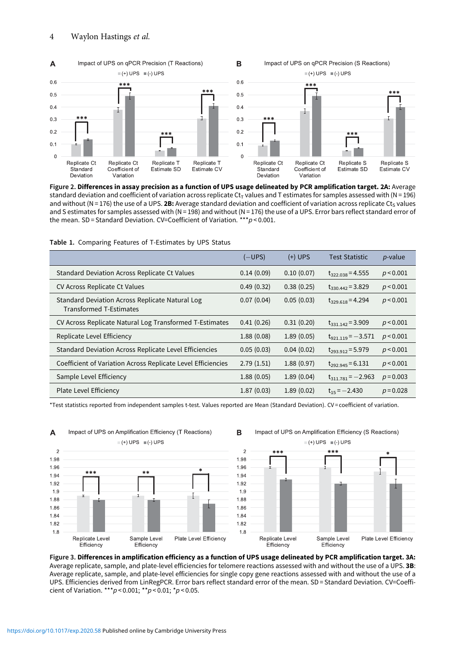<span id="page-3-0"></span>

Figure 2. Differences in assay precision as a function of UPS usage delineated by PCR amplification target. 2A: Average standard deviation and coefficient of variation across replicate  $C_t$  values and T estimates for samples assessed with (N = 196) and without (N = 176) the use of a UPS. 2B: Average standard deviation and coefficient of variation across replicate Ct<sub>S</sub> values and S estimates for samples assessed with (N = 198) and without (N = 176) the use of a UPS. Error bars reflect standard error of the mean. SD = Standard Deviation. CV=Coefficient of Variation. \*\*\* $p$  < 0.001.

|                                                                                   | (—UPS)     | $(+)$ UPS  | Test Statistic         | <i>p</i> -value |
|-----------------------------------------------------------------------------------|------------|------------|------------------------|-----------------|
| <b>Standard Deviation Across Replicate Ct Values</b>                              | 0.14(0.09) | 0.10(0.07) | $t_{322,038} = 4.555$  | p < 0.001       |
| CV Across Replicate Ct Values                                                     | 0.49(0.32) | 0.38(0.25) | $t_{330,442}$ = 3.829  | p < 0.001       |
| Standard Deviation Across Replicate Natural Log<br><b>Transformed T-Estimates</b> | 0.07(0.04) | 0.05(0.03) | $t_{329.618} = 4.294$  | p < 0.001       |
| CV Across Replicate Natural Log Transformed T-Estimates                           | 0.41(0.26) | 0.31(0.20) | $t_{331.142} = 3.909$  | p < 0.001       |
| Replicate Level Efficiency                                                        | 1.88(0.08) | 1.89(0.05) | $t_{921.119} = -3.571$ | p < 0.001       |
| Standard Deviation Across Replicate Level Efficiencies                            | 0.05(0.03) | 0.04(0.02) | $t_{293.912} = 5.979$  | p < 0.001       |
| Coefficient of Variation Across Replicate Level Efficiencies                      | 2.79(1.51) | 1.88(0.97) | $t_{292.945} = 6.131$  | p < 0.001       |
| Sample Level Efficiency                                                           | 1.88(0.05) | 1.89(0.04) | $t_{311.781} = -2.963$ | $p = 0.003$     |
| Plate Level Efficiency                                                            | 1.87(0.03) | 1.89(0.02) | $t_{15} = -2.430$      | $p = 0.028$     |

Table 1. Comparing Features of T-Estimates by UPS Status

\*Test statistics reported from independent samples t-test. Values reported are Mean (Standard Deviation). CV = coefficient of variation.

<span id="page-3-2"></span><span id="page-3-1"></span>

Figure 3. Differences in amplification efficiency as a function of UPS usage delineated by PCR amplification target. 3A: Average replicate, sample, and plate-level efficiencies for telomere reactions assessed with and without the use of a UPS. 3B: Average replicate, sample, and plate-level efficiencies for single copy gene reactions assessed with and without the use of a UPS. Efficiencies derived from LinRegPCR. Error bars reflect standard error of the mean. SD = Standard Deviation. CV=Coefficient of Variation. \*\*\* $p < 0.001$ ; \*\* $p < 0.01$ ; \* $p < 0.05$ .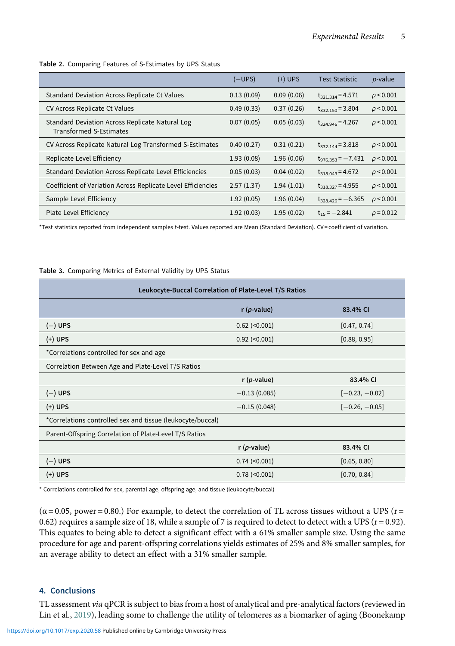|  |  |  | Table 2. Comparing Features of S-Estimates by UPS Status |  |  |
|--|--|--|----------------------------------------------------------|--|--|
|--|--|--|----------------------------------------------------------|--|--|

|                                                                                   | (—UPS)     | $(+)$ UPS  | <b>Test Statistic</b>  | <i>p</i> -value |
|-----------------------------------------------------------------------------------|------------|------------|------------------------|-----------------|
| <b>Standard Deviation Across Replicate Ct Values</b>                              | 0.13(0.09) | 0.09(0.06) | $t_{321,314} = 4.571$  | p < 0.001       |
| CV Across Replicate Ct Values                                                     | 0.49(0.33) | 0.37(0.26) | $t_{332,150} = 3.804$  | p < 0.001       |
| Standard Deviation Across Replicate Natural Log<br><b>Transformed S-Estimates</b> | 0.07(0.05) | 0.05(0.03) | $t_{324.946} = 4.267$  | p < 0.001       |
| CV Across Replicate Natural Log Transformed S-Estimates                           | 0.40(0.27) | 0.31(0.21) | $t_{332,144} = 3.818$  | p < 0.001       |
| Replicate Level Efficiency                                                        | 1.93(0.08) | 1.96(0.06) | $t_{976,353} = -7.431$ | p < 0.001       |
| Standard Deviation Across Replicate Level Efficiencies                            | 0.05(0.03) | 0.04(0.02) | $t_{318.043} = 4.672$  | p < 0.001       |
| Coefficient of Variation Across Replicate Level Efficiencies                      | 2.57(1.37) | 1.94(1.01) | $t_{318,327} = 4.955$  | p < 0.001       |
| Sample Level Efficiency                                                           | 1.92(0.05) | 1.96(0.04) | $t_{328,426} = -6.365$ | p < 0.001       |
| Plate Level Efficiency                                                            | 1.92(0.03) | 1.95(0.02) | $t_{15} = -2.841$      | $p = 0.012$     |

<span id="page-4-0"></span>\*Test statistics reported from independent samples t-test. Values reported are Mean (Standard Deviation). CV = coefficient of variation.

Table 3. Comparing Metrics of External Validity by UPS Status

| Leukocyte-Buccal Correlation of Plate-Level T/S Ratios     |                     |                  |  |
|------------------------------------------------------------|---------------------|------------------|--|
|                                                            | $r(p-value)$        | 83.4% CI         |  |
| $(-)$ UPS                                                  | $0.62$ (< $0.001$ ) | [0.47, 0.74]     |  |
| $(+)$ UPS                                                  | $0.92$ (< $0.001$ ) | [0.88, 0.95]     |  |
| *Correlations controlled for sex and age                   |                     |                  |  |
| Correlation Between Age and Plate-Level T/S Ratios         |                     |                  |  |
|                                                            | $r(p-value)$        | 83.4% CI         |  |
| $(-)$ UPS                                                  | $-0.13(0.085)$      | $[-0.23, -0.02]$ |  |
| $(+)$ UPS                                                  | $-0.15(0.048)$      | $[-0.26, -0.05]$ |  |
| *Correlations controlled sex and tissue (leukocyte/buccal) |                     |                  |  |
| Parent-Offspring Correlation of Plate-Level T/S Ratios     |                     |                  |  |
|                                                            | $r(p-value)$        | 83.4% CI         |  |
| $(-)$ UPS                                                  | $0.74$ (< $0.001$ ) | [0.65, 0.80]     |  |
| $(+)$ UPS                                                  | $0.78$ (< $0.001$ ) | [0.70, 0.84]     |  |

<span id="page-4-1"></span>\* Correlations controlled for sex, parental age, offspring age, and tissue (leukocyte/buccal)

 $(\alpha = 0.05, power = 0.80.)$  For example, to detect the correlation of TL across tissues without a UPS ( $r =$ 0.62) requires a sample size of 18, while a sample of 7 is required to detect to detect with a UPS ( $r = 0.92$ ). This equates to being able to detect a significant effect with a 61% smaller sample size. Using the same procedure for age and parent-offspring correlations yields estimates of 25% and 8% smaller samples, for an average ability to detect an effect with a 31% smaller sample.

#### 4. Conclusions

TL assessment via qPCR is subject to bias from a host of analytical and pre-analytical factors (reviewed in Lin et al., [2019\)](#page-6-8), leading some to challenge the utility of telomeres as a biomarker of aging (Boonekamp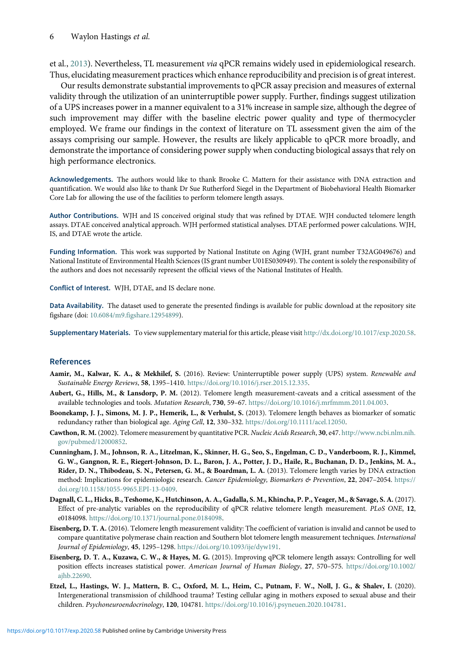et al., [2013\)](#page-5-8). Nevertheless, TL measurement via qPCR remains widely used in epidemiological research. Thus, elucidating measurement practices which enhance reproducibility and precision is of great interest.

Our results demonstrate substantial improvements to qPCR assay precision and measures of external validity through the utilization of an uninterruptible power supply. Further, findings suggest utilization of a UPS increases power in a manner equivalent to a 31% increase in sample size, although the degree of such improvement may differ with the baseline electric power quality and type of thermocycler employed. We frame our findings in the context of literature on TL assessment given the aim of the assays comprising our sample. However, the results are likely applicable to qPCR more broadly, and demonstrate the importance of considering power supply when conducting biological assays that rely on high performance electronics.

Acknowledgements. The authors would like to thank Brooke C. Mattern for their assistance with DNA extraction and quantification. We would also like to thank Dr Sue Rutherford Siegel in the Department of Biobehavioral Health Biomarker Core Lab for allowing the use of the facilities to perform telomere length assays.

Author Contributions. WJH and IS conceived original study that was refined by DTAE. WJH conducted telomere length assays. DTAE conceived analytical approach. WJH performed statistical analyses. DTAE performed power calculations. WJH, IS, and DTAE wrote the article.

Funding Information. This work was supported by National Institute on Aging (WJH, grant number T32AG049676) and National Institute of Environmental Health Sciences (IS grant number U01ES030949). The content is solely the responsibility of the authors and does not necessarily represent the official views of the National Institutes of Health.

Conflict of Interest. WJH, DTAE, and IS declare none.

Data Availability. The dataset used to generate the presented findings is available for public download at the repository site figshare (doi: [10.6084/m9.figshare.12954899](http://10.0.23.196/m9.figshare.12954899)).

Supplementary Materials. To view supplementary material for this article, please visit [http://dx.doi.org/10.1017/exp.2020.58.](http://dx.doi.org/10.1017/exp.2020.58)

#### <span id="page-5-5"></span>References

- <span id="page-5-1"></span>Aamir, M., Kalwar, K. A., & Mekhilef, S. (2016). Review: Uninterruptible power supply (UPS) system. Renewable and Sustainable Energy Reviews, 58, 1395–1410. [https://doi.org/10.1016/j.rser.2015.12.335.](https://doi.org/https://doi.org/10.1016/j.rser.2015.12.335)
- <span id="page-5-8"></span>Aubert, G., Hills, M., & Lansdorp, P. M. (2012). Telomere length measurement-caveats and a critical assessment of the available technologies and tools. Mutation Research, 730, 59–67. [https://doi.org/10.1016/j.mrfmmm.2011.04.003](https://doi.org/https://doi.org/10.1016/j.mrfmmm.2011.04.003).
- <span id="page-5-0"></span>Boonekamp, J. J., Simons, M. J. P., Hemerik, L., & Verhulst, S. (2013). Telomere length behaves as biomarker of somatic redundancy rather than biological age. Aging Cell, 12, 330–332. [https://doi.org/10.1111/acel.12050](https://doi.org/https://doi.org/10.1111/acel.12050).
- <span id="page-5-2"></span>Cawthon, R. M.(2002). Telomere measurement by quantitative PCR. Nucleic Acids Research, 30, e47. [http://www.ncbi.nlm.nih.](https://doi.org/http://www.ncbi.nlm.nih.gov/pubmed/12000852) [gov/pubmed/12000852](https://doi.org/http://www.ncbi.nlm.nih.gov/pubmed/12000852).
- Cunningham, J. M., Johnson, R. A., Litzelman, K., Skinner, H. G., Seo, S., Engelman, C. D., Vanderboom, R. J., Kimmel, G. W., Gangnon, R. E., Riegert-Johnson, D. L., Baron, J. A., Potter, J. D., Haile, R., Buchanan, D. D., Jenkins, M. A., Rider, D. N., Thibodeau, S. N., Petersen, G. M., & Boardman, L. A. (2013). Telomere length varies by DNA extraction method: Implications for epidemiologic research. Cancer Epidemiology, Biomarkers & Prevention, 22, 2047–2054. [https://](https://doi.org/https://doi.org/10.1158/1055-9965.EPI-13-0409) [doi.org/10.1158/1055-9965.EPI-13-0409](https://doi.org/https://doi.org/10.1158/1055-9965.EPI-13-0409).
- <span id="page-5-7"></span><span id="page-5-3"></span>Dagnall, C. L., Hicks, B., Teshome, K., Hutchinson, A. A., Gadalla, S. M., Khincha, P. P., Yeager, M., & Savage, S. A. (2017). Effect of pre-analytic variables on the reproducibility of qPCR relative telomere length measurement. PLoS ONE, 12, e0184098. [https://doi.org/10.1371/journal.pone.0184098.](https://doi.org/https://doi.org/10.1371/journal.pone.0184098)
- <span id="page-5-4"></span>Eisenberg, D. T. A. (2016). Telomere length measurement validity: The coefficient of variation is invalid and cannot be used to compare quantitative polymerase chain reaction and Southern blot telomere length measurement techniques. International Journal of Epidemiology, 45, 1295–1298. [https://doi.org/10.1093/ije/dyw191](https://doi.org/https://doi.org/10.1093/ije/dyw191).
- <span id="page-5-6"></span>Eisenberg, D. T. A., Kuzawa, C. W., & Hayes, M. G. (2015). Improving qPCR telomere length assays: Controlling for well position effects increases statistical power. American Journal of Human Biology, 27, 570–575. [https://doi.org/10.1002/](https://doi.org/https://doi.org/10.1002/ajhb.22690) [ajhb.22690](https://doi.org/https://doi.org/10.1002/ajhb.22690).
- Etzel, L., Hastings, W. J., Mattern, B. C., Oxford, M. L., Heim, C., Putnam, F. W., Noll, J. G., & Shalev, I. (2020). Intergenerational transmission of childhood trauma? Testing cellular aging in mothers exposed to sexual abuse and their children. Psychoneuroendocrinology, 120, 104781. [https://doi.org/10.1016/j.psyneuen.2020.104781](https://doi.org/https://doi.org/10.1016/j.psyneuen.2020.104781).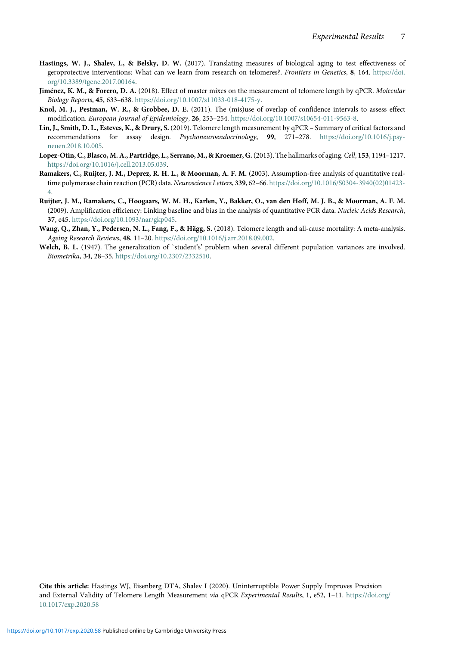- <span id="page-6-2"></span>Hastings, W. J., Shalev, I., & Belsky, D. W. (2017). Translating measures of biological aging to test effectiveness of geroprotective interventions: What can we learn from research on telomeres?. Frontiers in Genetics, 8, 164. [https://doi.](https://doi.org/https://doi.org/10.3389/fgene.2017.00164) [org/10.3389/fgene.2017.00164.](https://doi.org/https://doi.org/10.3389/fgene.2017.00164)
- <span id="page-6-3"></span>Jiménez, K. M., & Forero, D. A. (2018). Effect of master mixes on the measurement of telomere length by qPCR. Molecular Biology Reports, 45, 633–638. [https://doi.org/10.1007/s11033-018-4175-y](https://doi.org/https://doi.org/10.1007/s11033-018-4175-y).
- <span id="page-6-7"></span>Knol, M. J., Pestman, W. R., & Grobbee, D. E. (2011). The (mis)use of overlap of confidence intervals to assess effect modification. European Journal of Epidemiology, 26, 253-254. [https://doi.org/10.1007/s10654-011-9563-8.](https://doi.org/https://doi.org/10.1007/s10654-011-9563-8)
- <span id="page-6-8"></span>Lin, J., Smith, D. L., Esteves, K., & Drury, S. (2019). Telomere length measurement by qPCR – Summary of critical factors and recommendations for assay design. Psychoneuroendocrinology, 99, 271–278. [https://doi.org/10.1016/j.psy](https://doi.org/https://doi.org/10.1016/j.psyneuen.2018.10.005)[neuen.2018.10.005](https://doi.org/https://doi.org/10.1016/j.psyneuen.2018.10.005).
- <span id="page-6-0"></span>Lopez-Otin, C., Blasco, M. A., Partridge, L., Serrano, M., & Kroemer, G.(2013). The hallmarks of aging. Cell, 153, 1194–1217. [https://doi.org/10.1016/j.cell.2013.05.039.](https://doi.org/https://doi.org/10.1016/j.cell.2013.05.039)
- <span id="page-6-4"></span>Ramakers, C., Ruijter, J. M., Deprez, R. H. L., & Moorman, A. F. M. (2003). Assumption-free analysis of quantitative realtime polymerase chain reaction (PCR) data. Neuroscience Letters, 339, 62-66. [https://doi.org/10.1016/S0304-3940\(02\)01423-](https://doi.org/https://doi.org/10.1016/S0304-3940(02)01423-4) [4](https://doi.org/https://doi.org/10.1016/S0304-3940(02)01423-4).
- <span id="page-6-5"></span>Ruijter, J. M., Ramakers, C., Hoogaars, W. M. H., Karlen, Y., Bakker, O., van den Hoff, M. J. B., & Moorman, A. F. M. (2009). Amplification efficiency: Linking baseline and bias in the analysis of quantitative PCR data. Nucleic Acids Research, 37, e45. [https://doi.org/10.1093/nar/gkp045.](https://doi.org/https://doi.org/10.1093/nar/gkp045)
- <span id="page-6-1"></span>Wang, Q., Zhan, Y., Pedersen, N. L., Fang, F., & Hägg, S. (2018). Telomere length and all-cause mortality: A meta-analysis. Ageing Research Reviews, 48, 11–20. [https://doi.org/10.1016/j.arr.2018.09.002.](https://doi.org/https://doi.org/10.1016/j.arr.2018.09.002)
- <span id="page-6-6"></span>Welch, B. L. (1947). The generalization of `student's' problem when several different population variances are involved. Biometrika, 34, 28–35. [https://doi.org/10.2307/2332510](https://doi.org/https://doi.org/10.2307/2332510).

Cite this article: Hastings WJ, Eisenberg DTA, Shalev I (2020). Uninterruptible Power Supply Improves Precision and External Validity of Telomere Length Measurement via qPCR Experimental Results, 1, e52, 1-11. [https://doi.org/](https://doi.org/10.1017/exp.2020.58) [10.1017/exp.2020.58](https://doi.org/10.1017/exp.2020.58)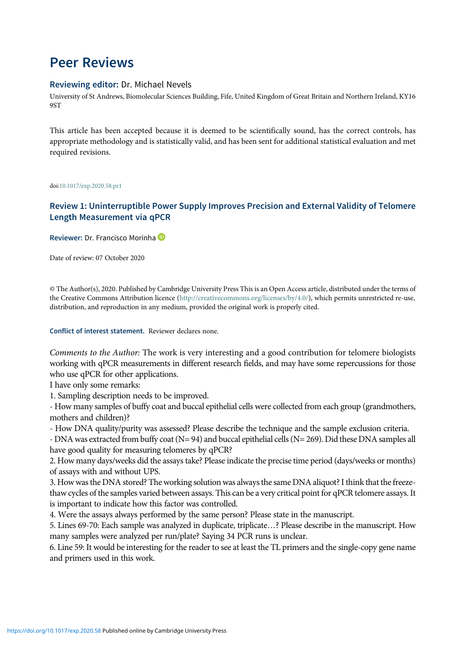# Peer Reviews

#### Reviewing editor: Dr. Michael Nevels

University of St Andrews, Biomolecular Sciences Building, Fife, United Kingdom of Great Britain and Northern Ireland, KY16 9ST

This article has been accepted because it is deemed to be scientifically sound, has the correct controls, has appropriate methodology and is statistically valid, and has been sent for additional statistical evaluation and met required revisions.

doi[:10.1017/exp.2020.58.pr1](https://doi.org/10.1017/exp.2020.58.pr1)

### Review 1: Uninterruptible Power Supply Improves Precision and External Validity of Telomere Length Measurement via qPCR

Reviewer: Dr. Francisco Morinha

Date of review: 07 October 2020

© The Author(s), 2020. Published by Cambridge University Press This is an Open Access article, distributed under the terms of the Creative Commons Attribution licence (<http://creativecommons.org/licenses/by/4.0/>), which permits unrestricted re-use, distribution, and reproduction in any medium, provided the original work is properly cited.

#### Conflict of interest statement. Reviewer declares none.

Comments to the Author: The work is very interesting and a good contribution for telomere biologists working with qPCR measurements in different research fields, and may have some repercussions for those who use qPCR for other applications.

I have only some remarks:

1. Sampling description needs to be improved.

- How many samples of buffy coat and buccal epithelial cells were collected from each group (grandmothers, mothers and children)?

- How DNA quality/purity was assessed? Please describe the technique and the sample exclusion criteria.

- DNA was extracted from buffy coat (N= 94) and buccal epithelial cells (N= 269). Did these DNA samples all have good quality for measuring telomeres by qPCR?

2. How many days/weeks did the assays take? Please indicate the precise time period (days/weeks or months) of assays with and without UPS.

3. How was the DNA stored? The working solution was always the same DNA aliquot? I think that the freezethaw cycles of the samples varied between assays. This can be a very critical point for qPCR telomere assays. It is important to indicate how this factor was controlled.

4. Were the assays always performed by the same person? Please state in the manuscript.

5. Lines 69-70: Each sample was analyzed in duplicate, triplicate…? Please describe in the manuscript. How many samples were analyzed per run/plate? Saying 34 PCR runs is unclear.

6. Line 59: It would be interesting for the reader to see at least the TL primers and the single-copy gene name and primers used in this work.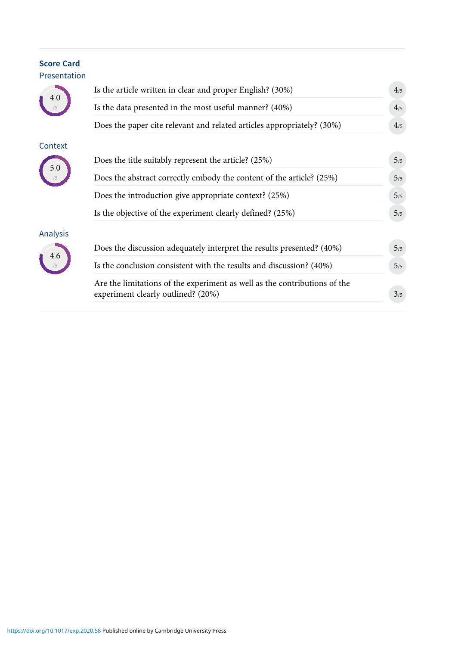## Score Card Presentation

4.0 /5

Context

5.0 /5

Analysis

4.6 /5

| Is the article written in clear and proper English? (30%)                                                       |  |
|-----------------------------------------------------------------------------------------------------------------|--|
| Is the data presented in the most useful manner? (40%)                                                          |  |
| Does the paper cite relevant and related articles appropriately? (30%)                                          |  |
| Does the title suitably represent the article? (25%)                                                            |  |
| Does the abstract correctly embody the content of the article? (25%)                                            |  |
| Does the introduction give appropriate context? (25%)                                                           |  |
| Is the objective of the experiment clearly defined? (25%)                                                       |  |
| Does the discussion adequately interpret the results presented? (40%)                                           |  |
| Is the conclusion consistent with the results and discussion? (40%)                                             |  |
| Are the limitations of the experiment as well as the contributions of the<br>experiment clearly outlined? (20%) |  |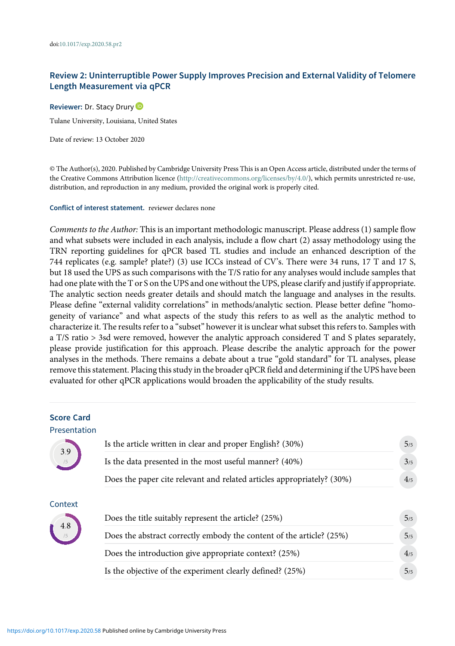### Review 2: Uninterruptible Power Supply Improves Precision and External Validity of Telomere Length Measurement via qPCR

Reviewer: Dr. Stacy Drury<sup>1</sup> Tulane University, Louisiana, United States

Date of review: 13 October 2020

© The Author(s), 2020. Published by Cambridge University Press This is an Open Access article, distributed under the terms of the Creative Commons Attribution licence (<http://creativecommons.org/licenses/by/4.0/>), which permits unrestricted re-use, distribution, and reproduction in any medium, provided the original work is properly cited.

Conflict of interest statement. reviewer declares none

Comments to the Author: This is an important methodologic manuscript. Please address (1) sample flow and what subsets were included in each analysis, include a flow chart (2) assay methodology using the TRN reporting guidelines for qPCR based TL studies and include an enhanced description of the 744 replicates (e.g. sample? plate?) (3) use ICCs instead of CV's. There were 34 runs, 17 T and 17 S, but 18 used the UPS as such comparisons with the T/S ratio for any analyses would include samples that had one plate with the T or S on the UPS and one without the UPS, please clarify and justify if appropriate. The analytic section needs greater details and should match the language and analyses in the results. Please define "external validity correlations" in methods/analytic section. Please better define "homogeneity of variance" and what aspects of the study this refers to as well as the analytic method to characterize it. The results refer to a "subset" however it is unclear what subset this refers to. Samples with a T/S ratio > 3sd were removed, however the analytic approach considered T and S plates separately, please provide justification for this approach. Please describe the analytic approach for the power analyses in the methods. There remains a debate about a true "gold standard" for TL analyses, please remove this statement. Placing this study in the broader qPCR field and determining if the UPS have been evaluated for other qPCR applications would broaden the applicability of the study results.

## Score Card Presentation 3.9 /5 Is the article written in clear and proper English?  $(30\%)$   $5/5$ Is the data presented in the most useful manner?  $(40\%)$   $3/5$ Does the paper cite relevant and related articles appropriately?  $(30\%)$  4/5 Context 4.8 /5 Does the title suitably represent the article?  $(25%)$  5/5 Does the abstract correctly embody the content of the article?  $(25\%)$  5/5 Does the introduction give appropriate context?  $(25%)$   $4/5$ Is the objective of the experiment clearly defined?  $(25%)$   $5/5$